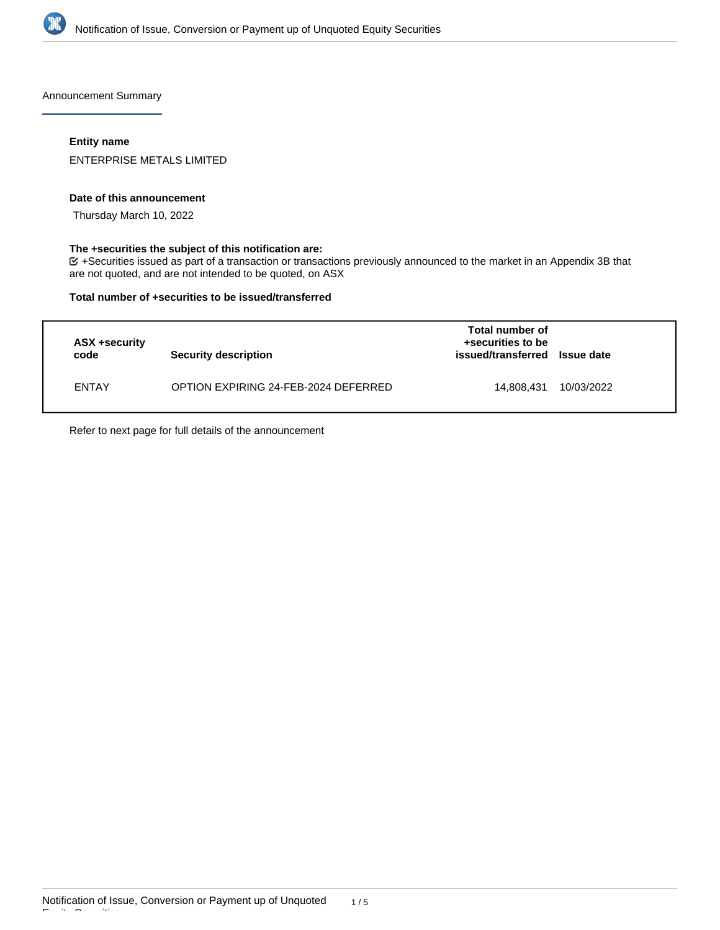

Announcement Summary

## **Entity name**

ENTERPRISE METALS LIMITED

### **Date of this announcement**

Thursday March 10, 2022

## **The +securities the subject of this notification are:**

+Securities issued as part of a transaction or transactions previously announced to the market in an Appendix 3B that are not quoted, and are not intended to be quoted, on ASX

### **Total number of +securities to be issued/transferred**

| ASX +security<br>code | <b>Security description</b>          | Total number of<br>+securities to be<br>issued/transferred | <b>Issue date</b> |
|-----------------------|--------------------------------------|------------------------------------------------------------|-------------------|
| <b>ENTAY</b>          | OPTION EXPIRING 24-FEB-2024 DEFERRED | 14.808.431                                                 | 10/03/2022        |

Refer to next page for full details of the announcement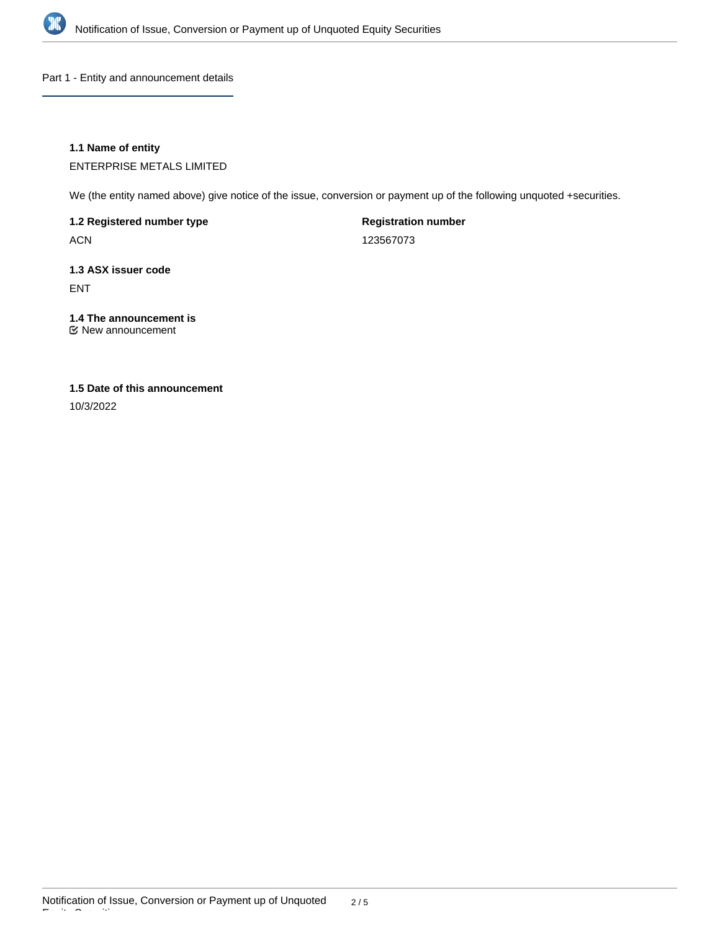

Part 1 - Entity and announcement details

## **1.1 Name of entity**

ENTERPRISE METALS LIMITED

We (the entity named above) give notice of the issue, conversion or payment up of the following unquoted +securities.

**1.2 Registered number type**

ACN

**Registration number**

123567073

# **1.3 ASX issuer code** ENT

**1.4 The announcement is**

New announcement

## **1.5 Date of this announcement**

10/3/2022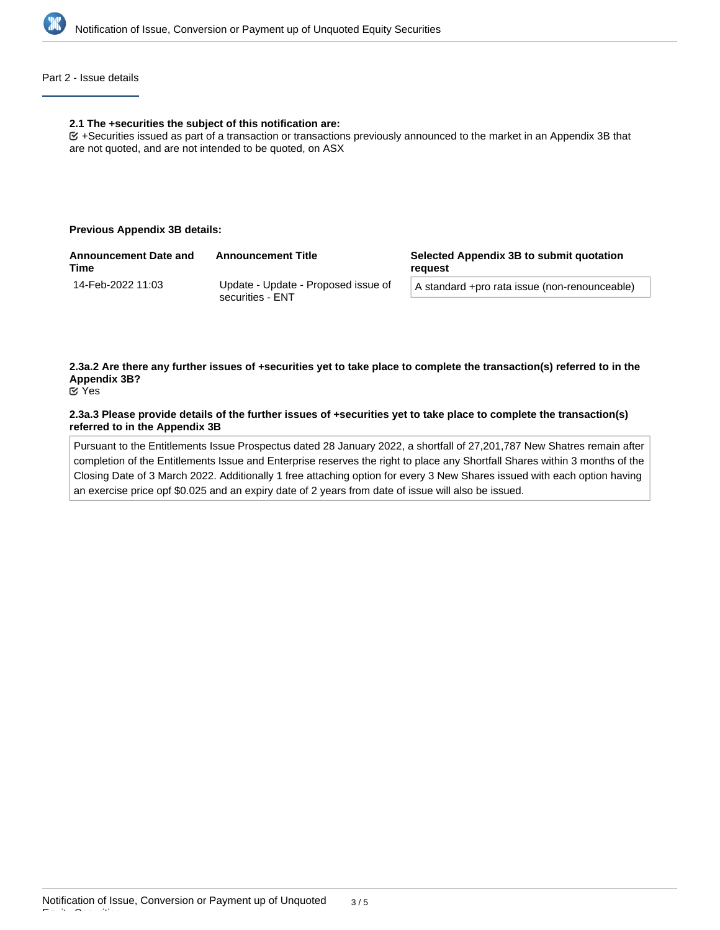

## Part 2 - Issue details

#### **2.1 The +securities the subject of this notification are:**

+Securities issued as part of a transaction or transactions previously announced to the market in an Appendix 3B that are not quoted, and are not intended to be quoted, on ASX

## **Previous Appendix 3B details:**

| <b>Announcement Date and</b><br><b>Time</b> | <b>Announcement Title</b>                               | Selected Appendix 3B to submit quotation<br>reauest |
|---------------------------------------------|---------------------------------------------------------|-----------------------------------------------------|
| 14-Feb-2022 11:03                           | Update - Update - Proposed issue of<br>securities - ENT | A standard +pro rata issue (non-renounceable)       |

**2.3a.2 Are there any further issues of +securities yet to take place to complete the transaction(s) referred to in the Appendix 3B?**

Yes

### **2.3a.3 Please provide details of the further issues of +securities yet to take place to complete the transaction(s) referred to in the Appendix 3B**

Pursuant to the Entitlements Issue Prospectus dated 28 January 2022, a shortfall of 27,201,787 New Shatres remain after completion of the Entitlements Issue and Enterprise reserves the right to place any Shortfall Shares within 3 months of the Closing Date of 3 March 2022. Additionally 1 free attaching option for every 3 New Shares issued with each option having an exercise price opf \$0.025 and an expiry date of 2 years from date of issue will also be issued.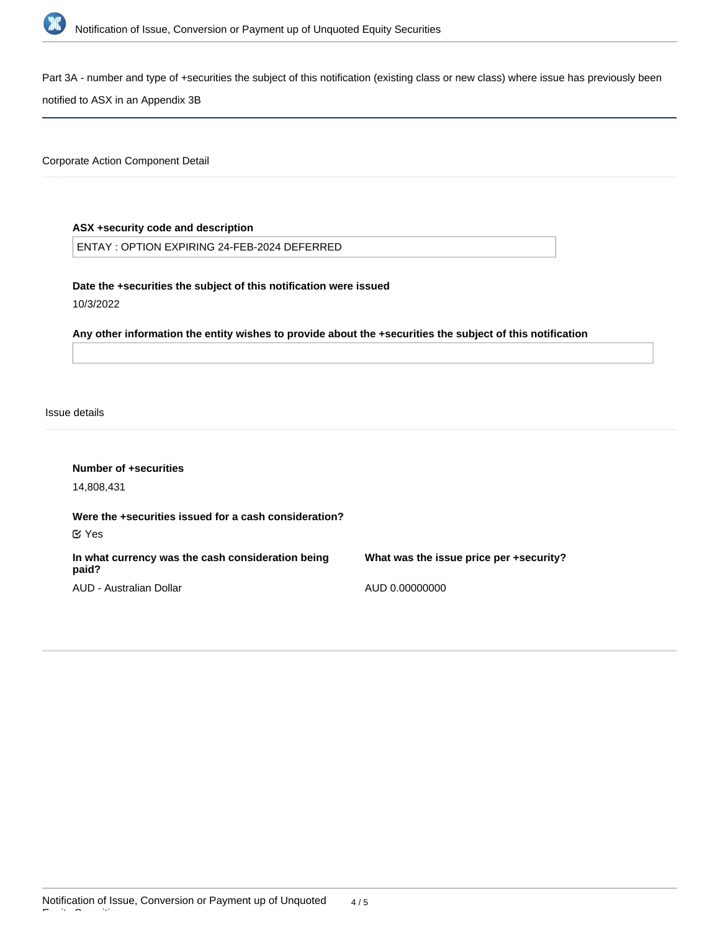

Part 3A - number and type of +securities the subject of this notification (existing class or new class) where issue has previously been

notified to ASX in an Appendix 3B

Corporate Action Component Detail

## **ASX +security code and description**

ENTAY : OPTION EXPIRING 24-FEB-2024 DEFERRED

**Date the +securities the subject of this notification were issued**

10/3/2022

**Any other information the entity wishes to provide about the +securities the subject of this notification**

Issue details

Equity Securities

| Number of +securities<br>14,808,431                                         |                                         |
|-----------------------------------------------------------------------------|-----------------------------------------|
| Were the +securities issued for a cash consideration?<br>$\mathfrak{C}$ Yes |                                         |
| In what currency was the cash consideration being<br>paid?                  | What was the issue price per +security? |
| AUD - Australian Dollar                                                     | AUD 0.00000000                          |